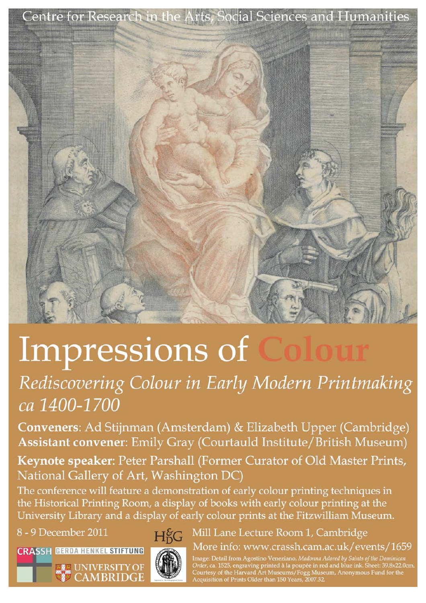

# Impressions of

# Rediscovering Colour in Early Modern Printmaking ca 1400-1700

Conveners: Ad Stijnman (Amsterdam) & Elizabeth Upper (Cambridge) Assistant convener: Emily Gray (Courtauld Institute/British Museum)

Keynote speaker: Peter Parshall (Former Curator of Old Master Prints, National Gallery of Art, Washington DC)

The conference will feature a demonstration of early colour printing techniques in the Historical Printing Room, a display of books with early colour printing at the University Library and a display of early colour prints at the Fitzwilliam Museum.

8 - 9 December 2011

**CRASSH GERDA HENKEL STIFTUNG** 

**ELE** UNIVERSITY OF



 $H<sup>6</sup>G$ 

Mill Lane Lecture Room 1, Cambridge More info: www.crassh.cam.ac.uk/events/1659

Image: Detail from Agostino Veneziano, Madonna Adored by Saints of the Dominican<br>Order, ca. 1525, engraving printed à la poupée in red and blue ink. Sheet: 39.8x22.0cm.<br>Courtesy of the Harvard Art Museums/Fogg Museum, Anon Acquisition of Prints Older than 150 Years, 2007.32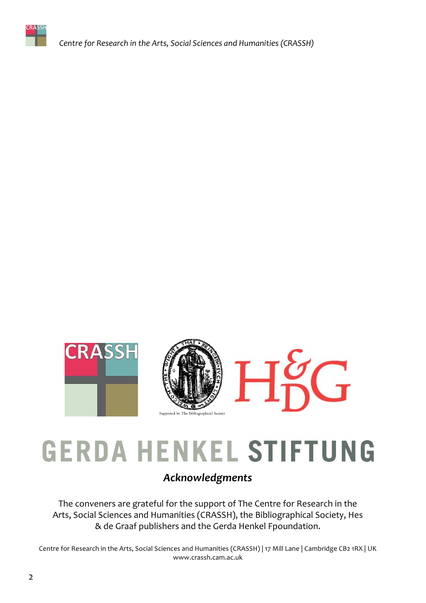

Centre for Research in the Arts, Social Sciences and Humanities (CRASSH)



# **GERDA HENKEL STIFTUNG**

### Acknowledgments

The conveners are grateful for the support of The Centre for Research in the Arts, Social Sciences and Humanities (CRASSH), the Bibliographical Society, Hes & de Graaf publishers and the Gerda Henkel Fpoundation.

Centre for Research in the Arts, Social Sciences and Humanities (CRASSH) | 17 Mill Lane | Cambridge CB2 1RX | UK www.crassh.cam.ac.uk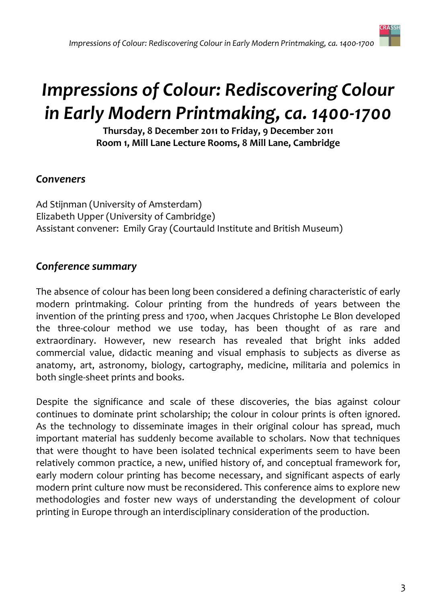# **Impressions of Colour: Rediscovering Colour** in Early Modern Printmaking, ca. 1400-1700

Thursday, 8 December 2011 to Friday, 9 December 2011 Room 1, Mill Lane Lecture Rooms, 8 Mill Lane, Cambridge

### Conveners

Ad Stijnman (University of Amsterdam) Elizabeth Upper (University of Cambridge) Assistant convener: Emily Gray (Courtauld Institute and British Museum)

## **Conference summary**

The absence of colour has been long been considered a defining characteristic of early modern printmaking. Colour printing from the hundreds of years between the invention of the printing press and 1700, when Jacques Christophe Le Blon developed the three-colour method we use today, has been thought of as rare and extraordinary. However, new research has revealed that bright inks added commercial value, didactic meaning and visual emphasis to subjects as diverse as anatomy, art, astronomy, biology, cartography, medicine, militaria and polemics in both single-sheet prints and books.

Despite the significance and scale of these discoveries, the bias against colour continues to dominate print scholarship; the colour in colour prints is often ignored. As the technology to disseminate images in their original colour has spread, much important material has suddenly become available to scholars. Now that techniques that were thought to have been isolated technical experiments seem to have been relatively common practice, a new, unified history of, and conceptual framework for, early modern colour printing has become necessary, and significant aspects of early modern print culture now must be reconsidered. This conference aims to explore new methodologies and foster new ways of understanding the development of colour printing in Europe through an interdisciplinary consideration of the production.

**CRASSH**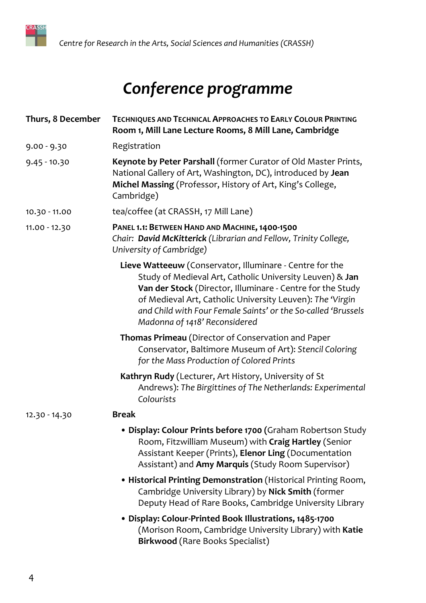

# Conference programme

| Thurs, 8 December | <b>TECHNIQUES AND TECHNICAL APPROACHES TO EARLY COLOUR PRINTING</b><br>Room 1, Mill Lane Lecture Rooms, 8 Mill Lane, Cambridge                                                                                                                                                                                                                    |
|-------------------|---------------------------------------------------------------------------------------------------------------------------------------------------------------------------------------------------------------------------------------------------------------------------------------------------------------------------------------------------|
| $9.00 - 9.30$     | Registration                                                                                                                                                                                                                                                                                                                                      |
| $9.45 - 10.30$    | Keynote by Peter Parshall (former Curator of Old Master Prints,<br>National Gallery of Art, Washington, DC), introduced by Jean<br>Michel Massing (Professor, History of Art, King's College,<br>Cambridge)                                                                                                                                       |
| 10.30 - 11.00     | tea/coffee (at CRASSH, 17 Mill Lane)                                                                                                                                                                                                                                                                                                              |
| 11.00 - 12.30     | PANEL 1.1: BETWEEN HAND AND MACHINE, 1400-1500<br>Chair: David McKitterick (Librarian and Fellow, Trinity College,<br>University of Cambridge)                                                                                                                                                                                                    |
|                   | Lieve Watteeuw (Conservator, Illuminare - Centre for the<br>Study of Medieval Art, Catholic University Leuven) & Jan<br>Van der Stock (Director, Illuminare - Centre for the Study<br>of Medieval Art, Catholic University Leuven): The 'Virgin<br>and Child with Four Female Saints' or the So-called 'Brussels<br>Madonna of 1418' Reconsidered |
|                   | Thomas Primeau (Director of Conservation and Paper<br>Conservator, Baltimore Museum of Art): Stencil Coloring<br>for the Mass Production of Colored Prints                                                                                                                                                                                        |
|                   | Kathryn Rudy (Lecturer, Art History, University of St<br>Andrews): The Birgittines of The Netherlands: Experimental<br>Colourists                                                                                                                                                                                                                 |
| 12.30 - 14.30     | <b>Break</b>                                                                                                                                                                                                                                                                                                                                      |
|                   | • Display: Colour Prints before 1700 (Graham Robertson Study<br>Room, Fitzwilliam Museum) with Craig Hartley (Senior<br>Assistant Keeper (Prints), Elenor Ling (Documentation<br>Assistant) and Amy Marquis (Study Room Supervisor)                                                                                                               |
|                   | • Historical Printing Demonstration (Historical Printing Room,<br>Cambridge University Library) by Nick Smith (former<br>Deputy Head of Rare Books, Cambridge University Library                                                                                                                                                                  |
|                   | · Display: Colour-Printed Book Illustrations, 1485-1700<br>(Morison Room, Cambridge University Library) with Katie<br><b>Birkwood</b> (Rare Books Specialist)                                                                                                                                                                                     |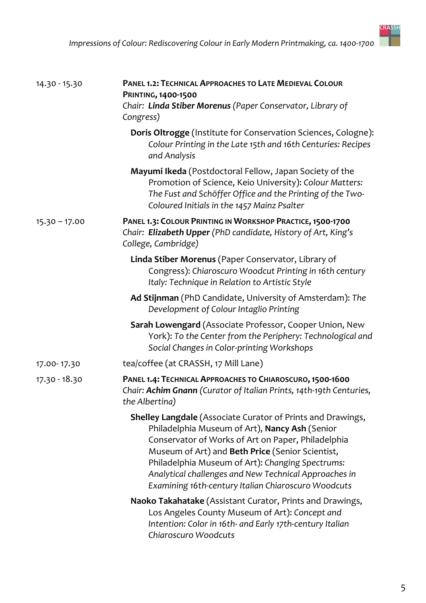| 14.30 - 15.30   | PANEL 1.2: TECHNICAL APPROACHES TO LATE MEDIEVAL COLOUR<br><b>PRINTING, 1400-1500</b><br>Chair: Linda Stiber Morenus (Paper Conservator, Library of<br>Congress)                                                                                                                                                                                                                            |
|-----------------|---------------------------------------------------------------------------------------------------------------------------------------------------------------------------------------------------------------------------------------------------------------------------------------------------------------------------------------------------------------------------------------------|
|                 | Doris Oltrogge (Institute for Conservation Sciences, Cologne):<br>Colour Printing in the Late 15th and 16th Centuries: Recipes<br>and Analysis                                                                                                                                                                                                                                              |
|                 | Mayumi Ikeda (Postdoctoral Fellow, Japan Society of the<br>Promotion of Science, Keio University): Colour Matters:<br>The Fust and Schöffer Office and the Printing of the Two-<br>Coloured Initials in the 1457 Mainz Psalter                                                                                                                                                              |
| $15.30 - 17.00$ | PANEL 1.3: COLOUR PRINTING IN WORKSHOP PRACTICE, 1500-1700<br>Chair: Elizabeth Upper (PhD candidate, History of Art, King's<br>College, Cambridge)                                                                                                                                                                                                                                          |
|                 | Linda Stiber Morenus (Paper Conservator, Library of<br>Congress): Chiaroscuro Woodcut Printing in 16th century<br>Italy: Technique in Relation to Artistic Style                                                                                                                                                                                                                            |
|                 | Ad Stijnman (PhD Candidate, University of Amsterdam): The<br>Development of Colour Intaglio Printing                                                                                                                                                                                                                                                                                        |
|                 | Sarah Lowengard (Associate Professor, Cooper Union, New<br>York): To the Center from the Periphery: Technological and<br>Social Changes in Color-printing Workshops                                                                                                                                                                                                                         |
| 17.00-17.30     | tea/coffee (at CRASSH, 17 Mill Lane)                                                                                                                                                                                                                                                                                                                                                        |
| $17.30 - 18.30$ | PANEL 1.4: TECHNICAL APPROACHES TO CHIAROSCURO, 1500-1600<br>Chair: Achim Gnann (Curator of Italian Prints, 14th-19th Centuries,<br>the Albertina)                                                                                                                                                                                                                                          |
|                 | Shelley Langdale (Associate Curator of Prints and Drawings,<br>Philadelphia Museum of Art), Nancy Ash (Senior<br>Conservator of Works of Art on Paper, Philadelphia<br>Museum of Art) and Beth Price (Senior Scientist,<br>Philadelphia Museum of Art): Changing Spectrums:<br>Analytical challenges and New Technical Approaches in<br>Examining 16th-century Italian Chiaroscuro Woodcuts |
|                 | Naoko Takahatake (Assistant Curator, Prints and Drawings,<br>Los Angeles County Museum of Art): Concept and<br>Intention: Color in 16th- and Early 17th-century Italian<br>Chiaroscuro Woodcuts                                                                                                                                                                                             |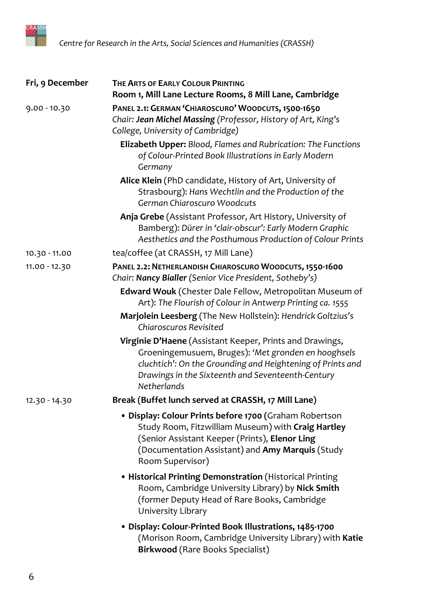

| Fri, 9 December | THE ARTS OF EARLY COLOUR PRINTING<br>Room 1, Mill Lane Lecture Rooms, 8 Mill Lane, Cambridge                                                                                                                                                      |
|-----------------|---------------------------------------------------------------------------------------------------------------------------------------------------------------------------------------------------------------------------------------------------|
| $9.00 - 10.30$  | PANEL 2.1: GERMAN 'CHIAROSCURO' WOODCUTS, 1500-1650<br>Chair: Jean Michel Massing (Professor, History of Art, King's<br>College, University of Cambridge)                                                                                         |
|                 | Elizabeth Upper: Blood, Flames and Rubrication: The Functions<br>of Colour-Printed Book Illustrations in Early Modern<br>Germany                                                                                                                  |
|                 | Alice Klein (PhD candidate, History of Art, University of<br>Strasbourg): Hans Wechtlin and the Production of the<br>German Chiaroscuro Woodcuts                                                                                                  |
|                 | Anja Grebe (Assistant Professor, Art History, University of<br>Bamberg): Dürer in 'clair-obscur': Early Modern Graphic<br>Aesthetics and the Posthumous Production of Colour Prints                                                               |
| 10.30 - 11.00   | tea/coffee (at CRASSH, 17 Mill Lane)                                                                                                                                                                                                              |
| 11.00 - 12.30   | PANEL 2.2: NETHERLANDISH CHIAROSCURO WOODCUTS, 1550-1600<br>Chair: Nancy Bialler (Senior Vice President, Sotheby's)                                                                                                                               |
|                 | Edward Wouk (Chester Dale Fellow, Metropolitan Museum of<br>Art): The Flourish of Colour in Antwerp Printing ca. 1555                                                                                                                             |
|                 | Marjolein Leesberg (The New Hollstein): Hendrick Goltzius's<br><b>Chiaroscuros Revisited</b>                                                                                                                                                      |
|                 | Virginie D'Haene (Assistant Keeper, Prints and Drawings,<br>Groeningemusuem, Bruges): 'Met gronden en hooghsels<br>cluchtich': On the Grounding and Heightening of Prints and<br>Drawings in the Sixteenth and Seventeenth-Century<br>Netherlands |
| 12.30 - 14.30   | Break (Buffet lunch served at CRASSH, 17 Mill Lane)                                                                                                                                                                                               |
|                 | · Display: Colour Prints before 1700 (Graham Robertson<br>Study Room, Fitzwilliam Museum) with Craig Hartley<br>(Senior Assistant Keeper (Prints), Elenor Ling<br>(Documentation Assistant) and Amy Marquis (Study<br>Room Supervisor)            |
|                 | • Historical Printing Demonstration (Historical Printing<br>Room, Cambridge University Library) by Nick Smith<br>(former Deputy Head of Rare Books, Cambridge<br>University Library                                                               |
|                 | • Display: Colour-Printed Book Illustrations, 1485-1700<br>(Morison Room, Cambridge University Library) with Katie<br><b>Birkwood</b> (Rare Books Specialist)                                                                                     |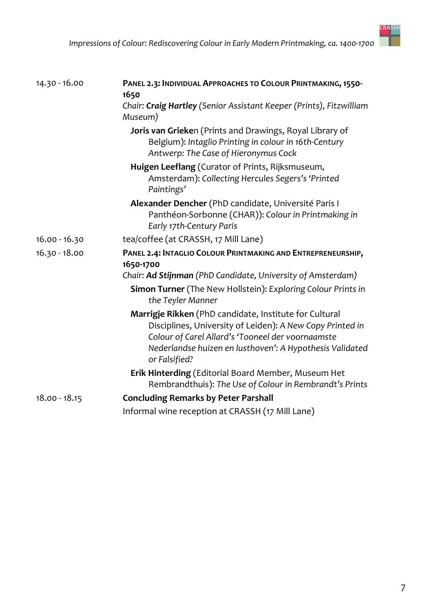| 14.30 - 16.00   | PANEL 2.3: INDIVIDUAL APPROACHES TO COLOUR PRINTMAKING, 1550-<br>1650                                                                                                                                                                                 |
|-----------------|-------------------------------------------------------------------------------------------------------------------------------------------------------------------------------------------------------------------------------------------------------|
|                 | Chair: Craig Hartley (Senior Assistant Keeper (Prints), Fitzwilliam<br>Museum)                                                                                                                                                                        |
|                 | Joris van Grieken (Prints and Drawings, Royal Library of<br>Belgium): Intaglio Printing in colour in 16th-Century<br>Antwerp: The Case of Hieronymus Cock                                                                                             |
|                 | Huigen Leeflang (Curator of Prints, Rijksmuseum,<br>Amsterdam): Collecting Hercules Segers's 'Printed<br>Paintings'                                                                                                                                   |
|                 | Alexander Dencher (PhD candidate, Université Paris I<br>Panthéon-Sorbonne (CHAR)): Colour in Printmaking in<br>Early 17th-Century Paris                                                                                                               |
| $16.00 - 16.30$ | tea/coffee (at CRASSH, 17 Mill Lane)                                                                                                                                                                                                                  |
| $16.30 - 18.00$ | PANEL 2.4: INTAGLIO COLOUR PRINTMAKING AND ENTREPRENEURSHIP,                                                                                                                                                                                          |
|                 | 1650-1700                                                                                                                                                                                                                                             |
|                 | Chair: Ad Stijnman (PhD Candidate, University of Amsterdam)                                                                                                                                                                                           |
|                 | Simon Turner (The New Hollstein): Exploring Colour Prints in<br>the Teyler Manner                                                                                                                                                                     |
|                 | Marrigje Rikken (PhD candidate, Institute for Cultural<br>Disciplines, University of Leiden): A New Copy Printed in<br>Colour of Carel Allard's 'Tooneel der voornaamste<br>Nederlandse huizen en lusthoven': A Hypothesis Validated<br>or Falsified? |
|                 | <b>Erik Hinterding (Editorial Board Member, Museum Het</b><br>Rembrandthuis): The Use of Colour in Rembrandt's Prints                                                                                                                                 |
| $18.00 - 18.15$ | <b>Concluding Remarks by Peter Parshall</b>                                                                                                                                                                                                           |
|                 | Informal wine reception at CRASSH (17 Mill Lane)                                                                                                                                                                                                      |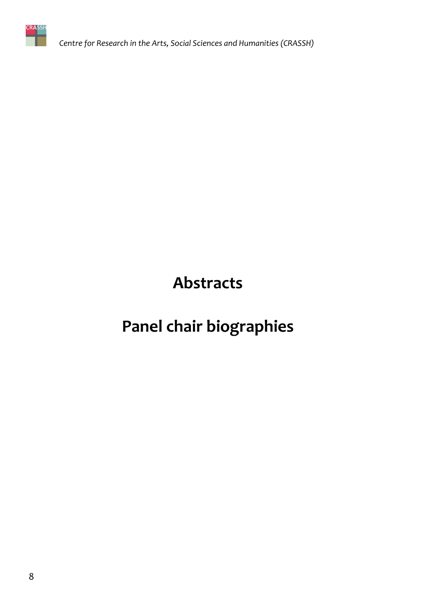

Centre for Research in the Arts, Social Sciences and Humanities (CRASSH)

**Abstracts** 

# Panel chair biographies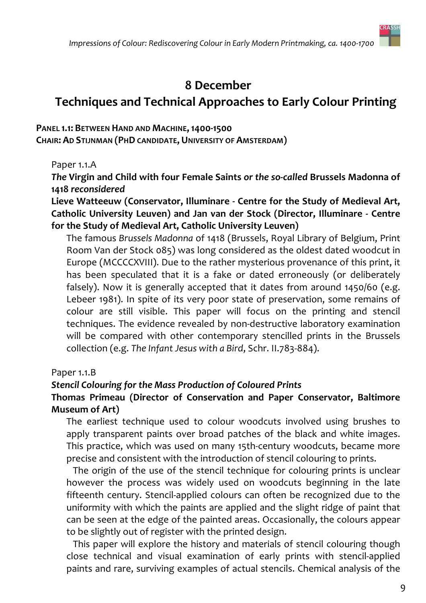

## 8 December

# **Techniques and Technical Approaches to Early Colour Printing**

PANEL 1.1: BETWEEN HAND AND MACHINE, 1400-1500

CHAIR: AD STIJNMAN (PHD CANDIDATE, UNIVERSITY OF AMSTERDAM)

Paper 1.1.A

The Virgin and Child with four Female Saints or the so-called Brussels Madonna of 1418 reconsidered

Lieve Watteeuw (Conservator, Illuminare - Centre for the Study of Medieval Art, Catholic University Leuven) and Jan van der Stock (Director, Illuminare - Centre for the Study of Medieval Art, Catholic University Leuven)

The famous Brussels Madonna of 1418 (Brussels, Royal Library of Belgium, Print Room Van der Stock 085) was long considered as the oldest dated woodcut in Europe (MCCCCXVIII). Due to the rather mysterious provenance of this print, it has been speculated that it is a fake or dated erroneously (or deliberately falsely). Now it is generally accepted that it dates from around 1450/60 (e.g. Lebeer 1981). In spite of its very poor state of preservation, some remains of colour are still visible. This paper will focus on the printing and stencil techniques. The evidence revealed by non-destructive laboratory examination will be compared with other contemporary stencilled prints in the Brussels collection (e.g. The Infant Jesus with a Bird, Schr. II.783-884).

#### Paper 1.1.B

#### **Stencil Colouring for the Mass Production of Coloured Prints**

#### Thomas Primeau (Director of Conservation and Paper Conservator, Baltimore **Museum of Art)**

The earliest technique used to colour woodcuts involved using brushes to apply transparent paints over broad patches of the black and white images. This practice, which was used on many 15th-century woodcuts, became more precise and consistent with the introduction of stencil colouring to prints.

The origin of the use of the stencil technique for colouring prints is unclear however the process was widely used on woodcuts beginning in the late fifteenth century. Stencil-applied colours can often be recognized due to the uniformity with which the paints are applied and the slight ridge of paint that can be seen at the edge of the painted areas. Occasionally, the colours appear to be slightly out of register with the printed design.

This paper will explore the history and materials of stencil colouring though close technical and visual examination of early prints with stencil-applied paints and rare, surviving examples of actual stencils. Chemical analysis of the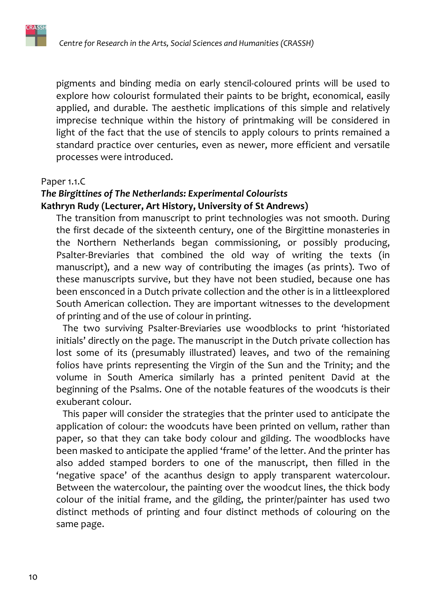pigments and binding media on early stencil-coloured prints will be used to explore how colourist formulated their paints to be bright, economical, easily applied, and durable. The aesthetic implications of this simple and relatively imprecise technique within the history of printmaking will be considered in light of the fact that the use of stencils to apply colours to prints remained a standard practice over centuries, even as newer, more efficient and versatile processes were introduced.

#### Paper 1.1.C

#### The Birgittines of The Netherlands: Experimental Colourists Kathryn Rudy (Lecturer, Art History, University of St Andrews)

The transition from manuscript to print technologies was not smooth. During the first decade of the sixteenth century, one of the Birgittine monasteries in the Northern Netherlands began commissioning, or possibly producing, Psalter-Breviaries that combined the old way of writing the texts (in manuscript), and a new way of contributing the images (as prints). Two of these manuscripts survive, but they have not been studied, because one has been ensconced in a Dutch private collection and the other is in a littleexplored South American collection. They are important witnesses to the development of printing and of the use of colour in printing.

The two surviving Psalter-Breviaries use woodblocks to print 'historiated initials' directly on the page. The manuscript in the Dutch private collection has lost some of its (presumably illustrated) leaves, and two of the remaining folios have prints representing the Virgin of the Sun and the Trinity; and the volume in South America similarly has a printed penitent David at the beginning of the Psalms. One of the notable features of the woodcuts is their exuberant colour.

This paper will consider the strategies that the printer used to anticipate the application of colour: the woodcuts have been printed on vellum, rather than paper, so that they can take body colour and gilding. The woodblocks have been masked to anticipate the applied 'frame' of the letter. And the printer has also added stamped borders to one of the manuscript, then filled in the 'negative space' of the acanthus design to apply transparent watercolour. Between the watercolour, the painting over the woodcut lines, the thick body colour of the initial frame, and the gilding, the printer/painter has used two distinct methods of printing and four distinct methods of colouring on the same page.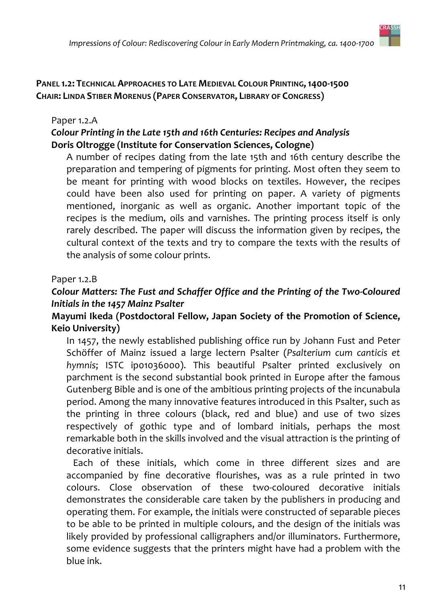#### PANEL 1.2: TECHNICAL APPROACHES TO LATE MEDIEVAL COLOUR PRINTING, 1400-1500 **CHAIR: LINDA STIBER MORENUS (PAPER CONSERVATOR, LIBRARY OF CONGRESS)**

#### Paper 1.2.A

#### Colour Printing in the Late 15th and 16th Centuries: Recipes and Analysis Doris Oltrogge (Institute for Conservation Sciences, Cologne)

A number of recipes dating from the late 15th and 16th century describe the preparation and tempering of pigments for printing. Most often they seem to be meant for printing with wood blocks on textiles. However, the recipes could have been also used for printing on paper. A variety of pigments mentioned, inorganic as well as organic. Another important topic of the recipes is the medium, oils and varnishes. The printing process itself is only rarely described. The paper will discuss the information given by recipes, the cultural context of the texts and try to compare the texts with the results of the analysis of some colour prints.

#### Paper 1.2.B

#### Colour Matters: The Fust and Schaffer Office and the Printing of the Two-Coloured Initials in the 1457 Mainz Psalter

#### Mayumi Ikeda (Postdoctoral Fellow, Japan Society of the Promotion of Science, **Keio University)**

In 1457, the newly established publishing office run by Johann Fust and Peter Schöffer of Mainz issued a large lectern Psalter (Psalterium cum canticis et hymnis; ISTC ipo1036000). This beautiful Psalter printed exclusively on parchment is the second substantial book printed in Europe after the famous Gutenberg Bible and is one of the ambitious printing projects of the incunabula period. Among the many innovative features introduced in this Psalter, such as the printing in three colours (black, red and blue) and use of two sizes respectively of gothic type and of lombard initials, perhaps the most remarkable both in the skills involved and the visual attraction is the printing of decorative initials.

Each of these initials, which come in three different sizes and are accompanied by fine decorative flourishes, was as a rule printed in two colours. Close observation of these two-coloured decorative initials demonstrates the considerable care taken by the publishers in producing and operating them. For example, the initials were constructed of separable pieces to be able to be printed in multiple colours, and the design of the initials was likely provided by professional calligraphers and/or illuminators. Furthermore, some evidence suggests that the printers might have had a problem with the blue ink.

**CRASSH**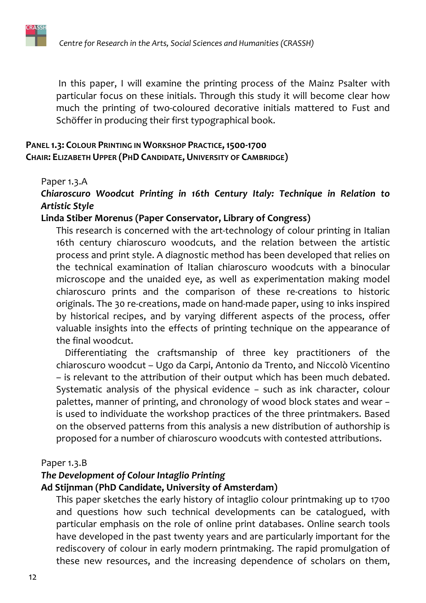

In this paper, I will examine the printing process of the Mainz Psalter with particular focus on these initials. Through this study it will become clear how much the printing of two-coloured decorative initials mattered to Fust and Schöffer in producing their first typographical book.

#### PANEL 1.3: COLOUR PRINTING IN WORKSHOP PRACTICE, 1500-1700 **CHAIR: ELIZABETH UPPER (PHD CANDIDATE, UNIVERSITY OF CAMBRIDGE)**

#### Paper 1.3.A

#### Chiaroscuro Woodcut Printing in 16th Century Italy: Technique in Relation to **Artistic Style**

#### Linda Stiber Morenus (Paper Conservator, Library of Congress)

This research is concerned with the art-technology of colour printing in Italian 16th century chiaroscuro woodcuts, and the relation between the artistic process and print style. A diagnostic method has been developed that relies on the technical examination of Italian chiaroscuro woodcuts with a binocular microscope and the unaided eye, as well as experimentation making model chiaroscuro prints and the comparison of these re-creations to historic originals. The 30 re-creations, made on hand-made paper, using 10 inks inspired by historical recipes, and by varying different aspects of the process, offer valuable insights into the effects of printing technique on the appearance of the final woodcut.

Differentiating the craftsmanship of three key practitioners of the chiaroscuro woodcut - Ugo da Carpi, Antonio da Trento, and Niccolò Vicentino - is relevant to the attribution of their output which has been much debated. Systematic analysis of the physical evidence - such as ink character, colour palettes, manner of printing, and chronology of wood block states and wear is used to individuate the workshop practices of the three printmakers. Based on the observed patterns from this analysis a new distribution of authorship is proposed for a number of chiaroscuro woodcuts with contested attributions.

#### Paper 1.3.B

#### The Development of Colour Intaglio Printing

#### Ad Stijnman (PhD Candidate, University of Amsterdam)

This paper sketches the early history of intaglio colour printmaking up to 1700 and questions how such technical developments can be catalogued, with particular emphasis on the role of online print databases. Online search tools have developed in the past twenty years and are particularly important for the rediscovery of colour in early modern printmaking. The rapid promulgation of these new resources, and the increasing dependence of scholars on them,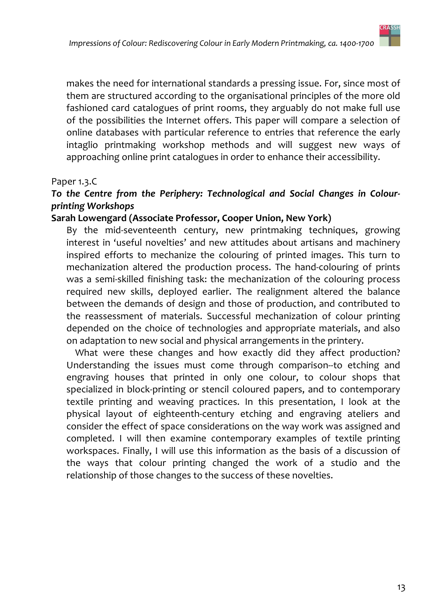

makes the need for international standards a pressing issue. For, since most of them are structured according to the organisational principles of the more old fashioned card catalogues of print rooms, they arguably do not make full use of the possibilities the Internet offers. This paper will compare a selection of online databases with particular reference to entries that reference the early intaglio printmaking workshop methods and will suggest new ways of approaching online print catalogues in order to enhance their accessibility.

#### Paper 1.3.C

#### To the Centre from the Periphery: Technological and Social Changes in Colourprinting Workshops

#### Sarah Lowengard (Associate Professor, Cooper Union, New York)

By the mid-seventeenth century, new printmaking techniques, growing interest in 'useful novelties' and new attitudes about artisans and machinery inspired efforts to mechanize the colouring of printed images. This turn to mechanization altered the production process. The hand-colouring of prints was a semi-skilled finishing task: the mechanization of the colouring process required new skills, deployed earlier. The realignment altered the balance between the demands of design and those of production, and contributed to the reassessment of materials. Successful mechanization of colour printing depended on the choice of technologies and appropriate materials, and also on adaptation to new social and physical arrangements in the printery.

What were these changes and how exactly did they affect production? Understanding the issues must come through comparison--to etching and engraving houses that printed in only one colour, to colour shops that specialized in block-printing or stencil coloured papers, and to contemporary textile printing and weaving practices. In this presentation, I look at the physical layout of eighteenth-century etching and engraving ateliers and consider the effect of space considerations on the way work was assigned and completed. I will then examine contemporary examples of textile printing workspaces. Finally, I will use this information as the basis of a discussion of the ways that colour printing changed the work of a studio and the relationship of those changes to the success of these novelties.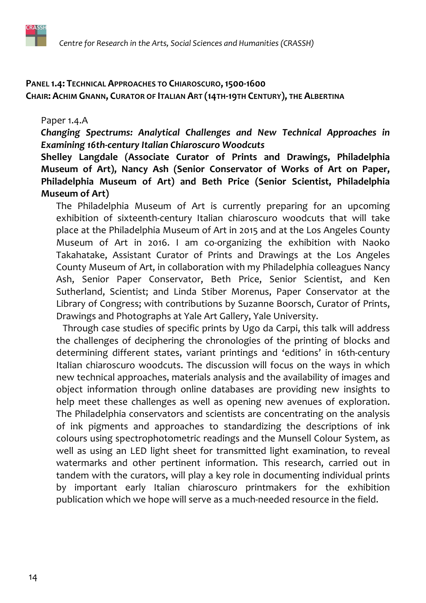

#### PANEL 1.4: TECHNICAL APPROACHES TO CHIAROSCURO, 1500-1600 CHAIR: ACHIM GNANN, CURATOR OF ITALIAN ART (14TH-19TH CENTURY), THE ALBERTINA

#### Paper 1.4.A

Changing Spectrums: Analytical Challenges and New Technical Approaches in **Examining 16th-century Italian Chiaroscuro Woodcuts** 

Shelley Langdale (Associate Curator of Prints and Drawings, Philadelphia Museum of Art), Nancy Ash (Senior Conservator of Works of Art on Paper, Philadelphia Museum of Art) and Beth Price (Senior Scientist, Philadelphia Museum of Art)

The Philadelphia Museum of Art is currently preparing for an upcoming exhibition of sixteenth-century Italian chiaroscuro woodcuts that will take place at the Philadelphia Museum of Art in 2015 and at the Los Angeles County Museum of Art in 2016. I am co-organizing the exhibition with Naoko Takahatake, Assistant Curator of Prints and Drawings at the Los Angeles County Museum of Art, in collaboration with my Philadelphia colleagues Nancy Ash, Senior Paper Conservator, Beth Price, Senior Scientist, and Ken Sutherland, Scientist; and Linda Stiber Morenus, Paper Conservator at the Library of Congress; with contributions by Suzanne Boorsch, Curator of Prints, Drawings and Photographs at Yale Art Gallery, Yale University.

Through case studies of specific prints by Ugo da Carpi, this talk will address the challenges of deciphering the chronologies of the printing of blocks and determining different states, variant printings and 'editions' in 16th-century Italian chiaroscuro woodcuts. The discussion will focus on the ways in which new technical approaches, materials analysis and the availability of images and object information through online databases are providing new insights to help meet these challenges as well as opening new avenues of exploration. The Philadelphia conservators and scientists are concentrating on the analysis of ink pigments and approaches to standardizing the descriptions of ink colours using spectrophotometric readings and the Munsell Colour System, as well as using an LED light sheet for transmitted light examination, to reveal watermarks and other pertinent information. This research, carried out in tandem with the curators, will play a key role in documenting individual prints by important early Italian chiaroscuro printmakers for the exhibition publication which we hope will serve as a much-needed resource in the field.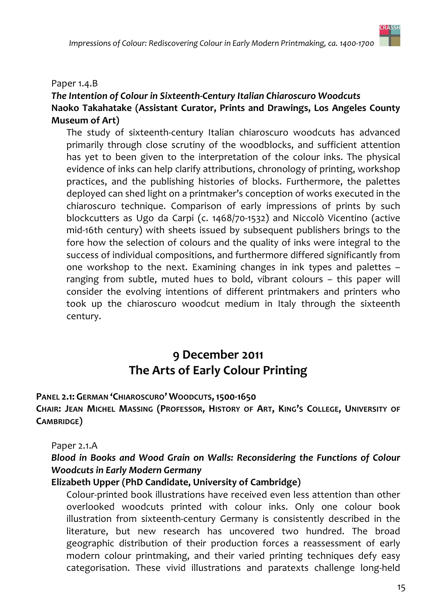#### Paper 1.4.B

#### The Intention of Colour in Sixteenth-Century Italian Chiaroscuro Woodcuts Naoko Takahatake (Assistant Curator, Prints and Drawings, Los Angeles County **Museum of Art)**

The study of sixteenth-century Italian chiaroscuro woodcuts has advanced primarily through close scrutiny of the woodblocks, and sufficient attention has yet to been given to the interpretation of the colour inks. The physical evidence of inks can help clarify attributions, chronology of printing, workshop practices, and the publishing histories of blocks. Furthermore, the palettes deployed can shed light on a printmaker's conception of works executed in the chiaroscuro technique. Comparison of early impressions of prints by such blockcutters as Ugo da Carpi (c. 1468/70-1532) and Niccolò Vicentino (active mid-16th century) with sheets issued by subsequent publishers brings to the fore how the selection of colours and the quality of inks were integral to the success of individual compositions, and furthermore differed significantly from one workshop to the next. Examining changes in ink types and palettes ranging from subtle, muted hues to bold, vibrant colours - this paper will consider the evolving intentions of different printmakers and printers who took up the chiaroscuro woodcut medium in Italy through the sixteenth century.

## 9 December 2011 The Arts of Early Colour Printing

#### PANEL 2.1: GERMAN 'CHIAROSCURO' WOODCUTS, 1500-1650

CHAIR: JEAN MICHEL MASSING (PROFESSOR, HISTORY OF ART, KING'S COLLEGE, UNIVERSITY OF CAMBRIDGE)

#### Paper 2.1.A

#### Blood in Books and Wood Grain on Walls: Reconsidering the Functions of Colour **Woodcuts in Early Modern Germany**

#### Elizabeth Upper (PhD Candidate, University of Cambridge)

Colour-printed book illustrations have received even less attention than other overlooked woodcuts printed with colour inks. Only one colour book illustration from sixteenth-century Germany is consistently described in the literature, but new research has uncovered two hundred. The broad geographic distribution of their production forces a reassessment of early modern colour printmaking, and their varied printing techniques defy easy categorisation. These vivid illustrations and paratexts challenge long-held

**CRASSH**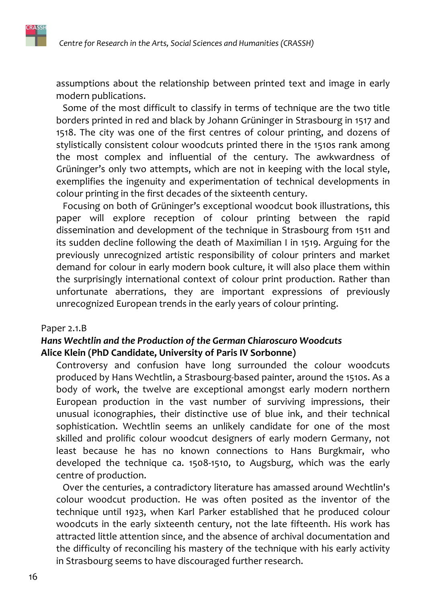assumptions about the relationship between printed text and image in early modern publications.

Some of the most difficult to classify in terms of technique are the two title borders printed in red and black by Johann Grüninger in Strasbourg in 1517 and 1518. The city was one of the first centres of colour printing, and dozens of stylistically consistent colour woodcuts printed there in the 1510s rank among the most complex and influential of the century. The awkwardness of Grüninger's only two attempts, which are not in keeping with the local style, exemplifies the ingenuity and experimentation of technical developments in colour printing in the first decades of the sixteenth century.

Focusing on both of Grüninger's exceptional woodcut book illustrations, this paper will explore reception of colour printing between the rapid dissemination and development of the technique in Strasbourg from 1511 and its sudden decline following the death of Maximilian I in 1519. Arguing for the previously unrecognized artistic responsibility of colour printers and market demand for colour in early modern book culture, it will also place them within the surprisingly international context of colour print production. Rather than unfortunate aberrations, they are important expressions of previously unrecognized European trends in the early years of colour printing.

#### Paper 2.1.B

#### Hans Wechtlin and the Production of the German Chiaroscuro Woodcuts Alice Klein (PhD Candidate, University of Paris IV Sorbonne)

Controversy and confusion have long surrounded the colour woodcuts produced by Hans Wechtlin, a Strasbourg-based painter, around the 1510s. As a body of work, the twelve are exceptional amongst early modern northern European production in the vast number of surviving impressions, their unusual iconographies, their distinctive use of blue ink, and their technical sophistication. Wechtlin seems an unlikely candidate for one of the most skilled and prolific colour woodcut designers of early modern Germany, not least because he has no known connections to Hans Burgkmair, who developed the technique ca. 1508-1510, to Augsburg, which was the early centre of production.

Over the centuries, a contradictory literature has amassed around Wechtlin's colour woodcut production. He was often posited as the inventor of the technique until 1923, when Karl Parker established that he produced colour woodcuts in the early sixteenth century, not the late fifteenth. His work has attracted little attention since, and the absence of archival documentation and the difficulty of reconciling his mastery of the technique with his early activity in Strasbourg seems to have discouraged further research.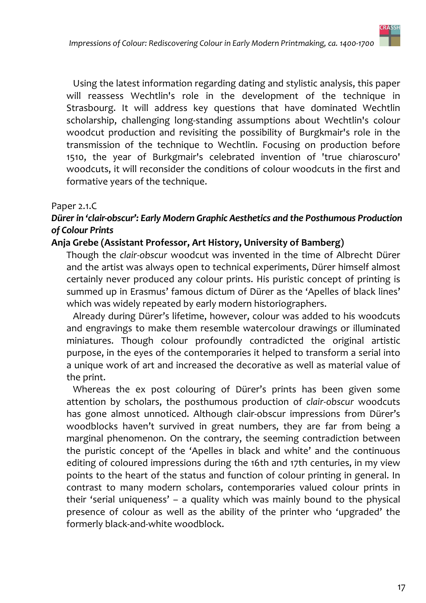

Using the latest information regarding dating and stylistic analysis, this paper will reassess Wechtlin's role in the development of the technique in Strasbourg. It will address key questions that have dominated Wechtlin scholarship, challenging long-standing assumptions about Wechtlin's colour woodcut production and revisiting the possibility of Burgkmair's role in the transmission of the technique to Wechtlin. Focusing on production before 1510, the year of Burkgmair's celebrated invention of 'true chiaroscuro' woodcuts, it will reconsider the conditions of colour woodcuts in the first and formative years of the technique.

#### Paper 2.1.C

#### Dürer in 'clair-obscur': Early Modern Graphic Aesthetics and the Posthumous Production of Colour Prints

#### Anja Grebe (Assistant Professor, Art History, University of Bamberg)

Though the clair-obscur woodcut was invented in the time of Albrecht Dürer and the artist was always open to technical experiments, Dürer himself almost certainly never produced any colour prints. His puristic concept of printing is summed up in Erasmus' famous dictum of Dürer as the 'Apelles of black lines' which was widely repeated by early modern historiographers.

Already during Dürer's lifetime, however, colour was added to his woodcuts and engravings to make them resemble watercolour drawings or illuminated miniatures. Though colour profoundly contradicted the original artistic purpose, in the eyes of the contemporaries it helped to transform a serial into a unique work of art and increased the decorative as well as material value of the print.

Whereas the ex post colouring of Dürer's prints has been given some attention by scholars, the posthumous production of clair-obscur woodcuts has gone almost unnoticed. Although clair-obscur impressions from Dürer's woodblocks haven't survived in great numbers, they are far from being a marginal phenomenon. On the contrary, the seeming contradiction between the puristic concept of the 'Apelles in black and white' and the continuous editing of coloured impressions during the 16th and 17th centuries, in my view points to the heart of the status and function of colour printing in general. In contrast to many modern scholars, contemporaries valued colour prints in their 'serial uniqueness'  $-$  a quality which was mainly bound to the physical presence of colour as well as the ability of the printer who 'upgraded' the formerly black-and-white woodblock.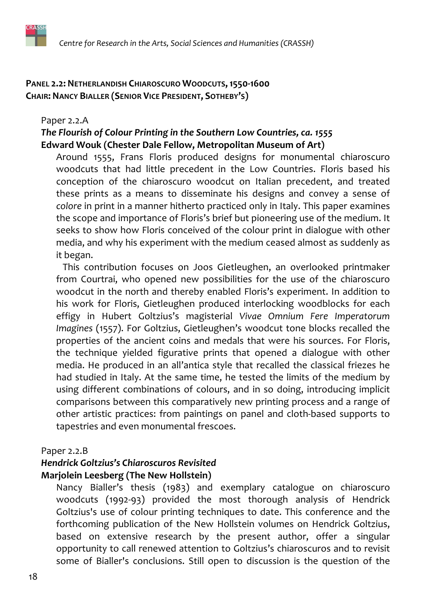#### PANEL 2.2: NETHERLANDISH CHIAROSCURO WOODCUTS, 1550-1600 **CHAIR: NANCY BIALLER (SENIOR VICE PRESIDENT, SOTHEBY'S)**

#### Paper 2.2.A

#### The Flourish of Colour Printing in the Southern Low Countries, ca. 1555 Edward Wouk (Chester Dale Fellow, Metropolitan Museum of Art)

Around 1555, Frans Floris produced designs for monumental chiaroscuro woodcuts that had little precedent in the Low Countries. Floris based his conception of the chiaroscuro woodcut on Italian precedent, and treated these prints as a means to disseminate his designs and convey a sense of colore in print in a manner hitherto practiced only in Italy. This paper examines the scope and importance of Floris's brief but pioneering use of the medium. It seeks to show how Floris conceived of the colour print in dialogue with other media, and why his experiment with the medium ceased almost as suddenly as it began.

This contribution focuses on Joos Gietleughen, an overlooked printmaker from Courtrai, who opened new possibilities for the use of the chiaroscuro woodcut in the north and thereby enabled Floris's experiment. In addition to his work for Floris, Gietleughen produced interlocking woodblocks for each effigy in Hubert Goltzius's magisterial Vivae Omnium Fere Imperatorum Imagines (1557). For Goltzius, Gietleughen's woodcut tone blocks recalled the properties of the ancient coins and medals that were his sources. For Floris, the technique yielded figurative prints that opened a dialogue with other media. He produced in an all'antica style that recalled the classical friezes he had studied in Italy. At the same time, he tested the limits of the medium by using different combinations of colours, and in so doing, introducing implicit comparisons between this comparatively new printing process and a range of other artistic practices: from paintings on panel and cloth-based supports to tapestries and even monumental frescoes.

#### Paper 2.2.B

#### **Hendrick Goltzius's Chiaroscuros Revisited** Marjolein Leesberg (The New Hollstein)

Nancy Bialler's thesis (1983) and exemplary catalogue on chiaroscuro woodcuts (1992-93) provided the most thorough analysis of Hendrick Goltzius's use of colour printing techniques to date. This conference and the forthcoming publication of the New Hollstein volumes on Hendrick Goltzius, based on extensive research by the present author, offer a singular opportunity to call renewed attention to Goltzius's chiaroscuros and to revisit some of Bialler's conclusions. Still open to discussion is the question of the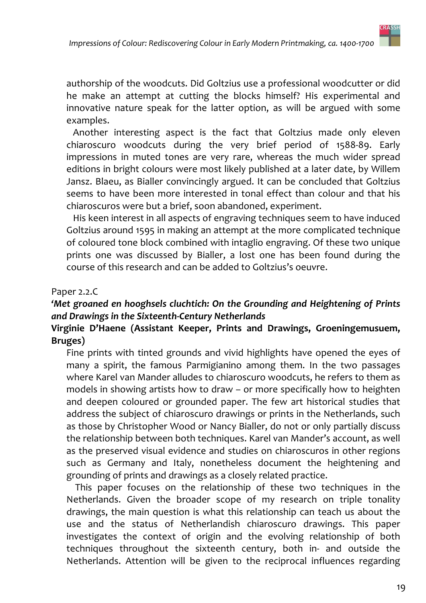

authorship of the woodcuts. Did Goltzius use a professional woodcutter or did he make an attempt at cutting the blocks himself? His experimental and innovative nature speak for the latter option, as will be argued with some examples.

Another interesting aspect is the fact that Goltzius made only eleven chiaroscuro woodcuts during the very brief period of 1588-89. Early impressions in muted tones are very rare, whereas the much wider spread editions in bright colours were most likely published at a later date, by Willem Jansz. Blaeu, as Bialler convincingly argued. It can be concluded that Goltzius seems to have been more interested in tonal effect than colour and that his chiaroscuros were but a brief, soon abandoned, experiment.

His keen interest in all aspects of engraving techniques seem to have induced Goltzius around 1595 in making an attempt at the more complicated technique of coloured tone block combined with intaglio engraving. Of these two unique prints one was discussed by Bialler, a lost one has been found during the course of this research and can be added to Goltzius's oeuvre.

#### Paper 2.2.C

#### 'Met groaned en hooghsels cluchtich: On the Grounding and Heightening of Prints and Drawings in the Sixteenth-Century Netherlands

#### Virginie D'Haene (Assistant Keeper, Prints and Drawings, Groeningemusuem, Bruges)

Fine prints with tinted grounds and vivid highlights have opened the eyes of many a spirit, the famous Parmigianino among them. In the two passages where Karel van Mander alludes to chiaroscuro woodcuts, he refers to them as models in showing artists how to draw - or more specifically how to heighten and deepen coloured or grounded paper. The few art historical studies that address the subject of chiaroscuro drawings or prints in the Netherlands, such as those by Christopher Wood or Nancy Bialler, do not or only partially discuss the relationship between both techniques. Karel van Mander's account, as well as the preserved visual evidence and studies on chiaroscuros in other regions such as Germany and Italy, nonetheless document the heightening and grounding of prints and drawings as a closely related practice.

This paper focuses on the relationship of these two techniques in the Netherlands. Given the broader scope of my research on triple tonality drawings, the main question is what this relationship can teach us about the use and the status of Netherlandish chiaroscuro drawings. This paper investigates the context of origin and the evolving relationship of both techniques throughout the sixteenth century, both in- and outside the Netherlands. Attention will be given to the reciprocal influences regarding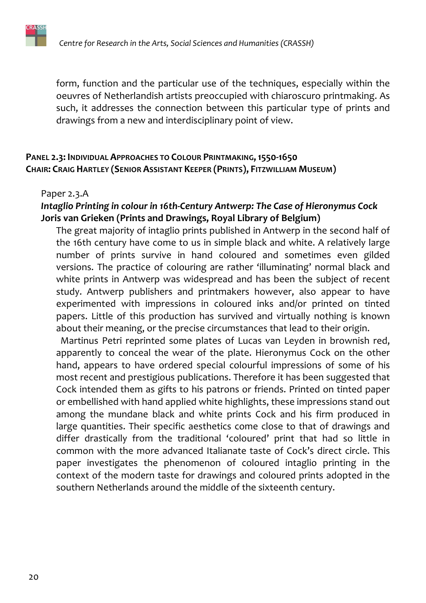

form, function and the particular use of the techniques, especially within the oeuvres of Netherlandish artists preoccupied with chiaroscuro printmaking. As such, it addresses the connection between this particular type of prints and drawings from a new and interdisciplinary point of view.

#### PANEL 2.3: INDIVIDUAL APPROACHES TO COLOUR PRINTMAKING, 1550-1650 CHAIR: CRAIG HARTLEY (SENIOR ASSISTANT KEEPER (PRINTS), FITZWILLIAM MUSEUM)

#### Paper 2.3.A

#### Intaglio Printing in colour in 16th-Century Antwerp: The Case of Hieronymus Cock Joris van Grieken (Prints and Drawings, Royal Library of Belgium)

The great majority of intaglio prints published in Antwerp in the second half of the 16th century have come to us in simple black and white. A relatively large number of prints survive in hand coloured and sometimes even gilded versions. The practice of colouring are rather 'illuminating' normal black and white prints in Antwerp was widespread and has been the subject of recent study. Antwerp publishers and printmakers however, also appear to have experimented with impressions in coloured inks and/or printed on tinted papers. Little of this production has survived and virtually nothing is known about their meaning, or the precise circumstances that lead to their origin.

Martinus Petri reprinted some plates of Lucas van Leyden in brownish red, apparently to conceal the wear of the plate. Hieronymus Cock on the other hand, appears to have ordered special colourful impressions of some of his most recent and prestigious publications. Therefore it has been suggested that Cock intended them as gifts to his patrons or friends. Printed on tinted paper or embellished with hand applied white highlights, these impressions stand out among the mundane black and white prints Cock and his firm produced in large quantities. Their specific aesthetics come close to that of drawings and differ drastically from the traditional 'coloured' print that had so little in common with the more advanced Italianate taste of Cock's direct circle. This paper investigates the phenomenon of coloured intaglio printing in the context of the modern taste for drawings and coloured prints adopted in the southern Netherlands around the middle of the sixteenth century.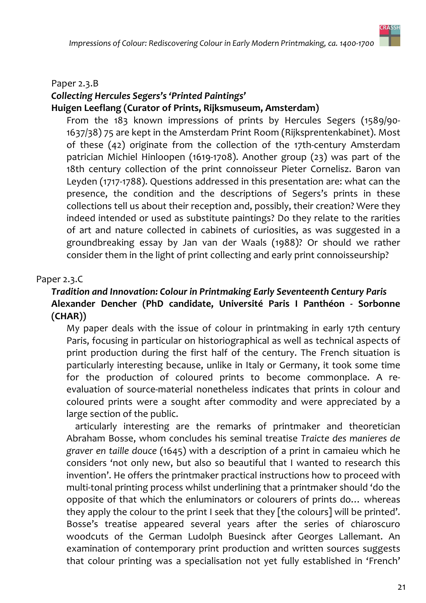

#### Paper 2.3.B

#### Collecting Hercules Segers's 'Printed Paintings' Huigen Leeflang (Curator of Prints, Rijksmuseum, Amsterdam)

From the 183 known impressions of prints by Hercules Segers (1589/90-1637/38) 75 are kept in the Amsterdam Print Room (Rijksprentenkabinet). Most of these (42) originate from the collection of the 17th-century Amsterdam patrician Michiel Hinloopen (1619-1708). Another group (23) was part of the 18th century collection of the print connoisseur Pieter Cornelisz. Baron van Leyden (1717-1788). Questions addressed in this presentation are: what can the presence, the condition and the descriptions of Segers's prints in these collections tell us about their reception and, possibly, their creation? Were they indeed intended or used as substitute paintings? Do they relate to the rarities of art and nature collected in cabinets of curiosities, as was suggested in a groundbreaking essay by Jan van der Waals (1988)? Or should we rather consider them in the light of print collecting and early print connoisseurship?

#### Paper 2.3.C

#### Tradition and Innovation: Colour in Printmaking Early Seventeenth Century Paris Alexander Dencher (PhD candidate, Université Paris I Panthéon - Sorbonne  $(CHAR))$

My paper deals with the issue of colour in printmaking in early 17th century Paris, focusing in particular on historiographical as well as technical aspects of print production during the first half of the century. The French situation is particularly interesting because, unlike in Italy or Germany, it took some time for the production of coloured prints to become commonplace. A reevaluation of source-material nonetheless indicates that prints in colour and coloured prints were a sought after commodity and were appreciated by a large section of the public.

articularly interesting are the remarks of printmaker and theoretician Abraham Bosse, whom concludes his seminal treatise Traicte des manieres de graver en taille douce (1645) with a description of a print in camaieu which he considers 'not only new, but also so beautiful that I wanted to research this invention'. He offers the printmaker practical instructions how to proceed with multi-tonal printing process whilst underlining that a printmaker should 'do the opposite of that which the enluminators or colourers of prints do... whereas they apply the colour to the print I seek that they [the colours] will be printed'. Bosse's treatise appeared several years after the series of chiaroscuro woodcuts of the German Ludolph Buesinck after Georges Lallemant. An examination of contemporary print production and written sources suggests that colour printing was a specialisation not yet fully established in 'French'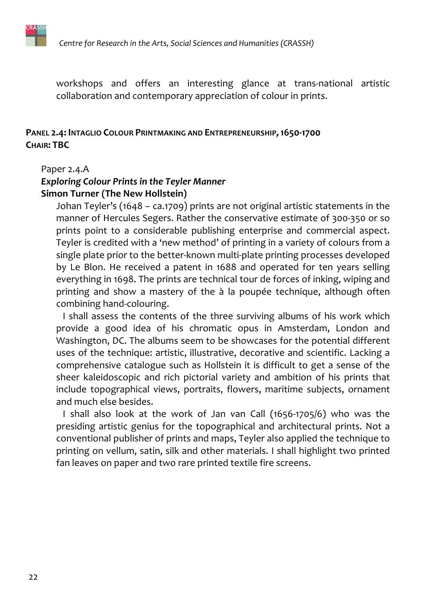

workshops and offers an interesting glance at trans-national artistic collaboration and contemporary appreciation of colour in prints.

#### PANEL 2.4: INTAGLIO COLOUR PRINTMAKING AND ENTREPRENEURSHIP, 1650-1700 **CHAIR: TBC**

#### Paper 2.4.A

#### **Exploring Colour Prints in the Teyler Manner Simon Turner (The New Hollstein)**

Johan Teyler's (1648 - ca.1709) prints are not original artistic statements in the manner of Hercules Segers. Rather the conservative estimate of 300-350 or so prints point to a considerable publishing enterprise and commercial aspect. Teyler is credited with a 'new method' of printing in a variety of colours from a single plate prior to the better-known multi-plate printing processes developed by Le Blon. He received a patent in 1688 and operated for ten years selling everything in 1698. The prints are technical tour de forces of inking, wiping and printing and show a mastery of the à la poupée technique, although often combining hand-colouring.

I shall assess the contents of the three surviving albums of his work which provide a good idea of his chromatic opus in Amsterdam, London and Washington, DC. The albums seem to be showcases for the potential different uses of the technique: artistic, illustrative, decorative and scientific. Lacking a comprehensive catalogue such as Hollstein it is difficult to get a sense of the sheer kaleidoscopic and rich pictorial variety and ambition of his prints that include topographical views, portraits, flowers, maritime subjects, ornament and much else besides.

I shall also look at the work of Jan van Call (1656-1705/6) who was the presiding artistic genius for the topographical and architectural prints. Not a conventional publisher of prints and maps, Teyler also applied the technique to printing on vellum, satin, silk and other materials. I shall highlight two printed fan leaves on paper and two rare printed textile fire screens.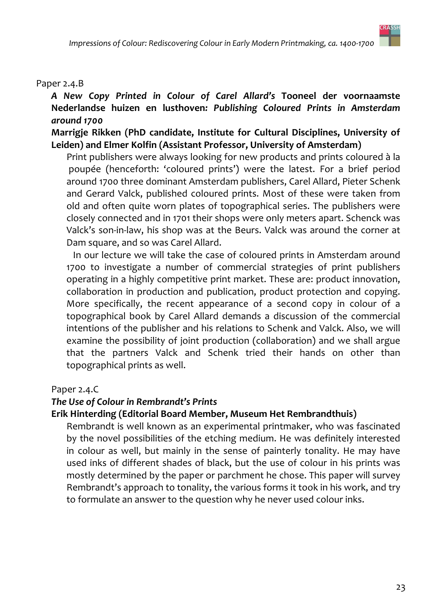#### Paper 2.4.B

A New Copy Printed in Colour of Carel Allard's Tooneel der voornaamste Nederlandse huizen en lusthoven: Publishing Coloured Prints in Amsterdam around 1700

#### Marrigje Rikken (PhD candidate, Institute for Cultural Disciplines, University of Leiden) and Elmer Kolfin (Assistant Professor, University of Amsterdam)

Print publishers were always looking for new products and prints coloured à la poupée (henceforth: 'coloured prints') were the latest. For a brief period around 1700 three dominant Amsterdam publishers, Carel Allard, Pieter Schenk and Gerard Valck, published coloured prints. Most of these were taken from old and often quite worn plates of topographical series. The publishers were closely connected and in 1701 their shops were only meters apart. Schenck was Valck's son-in-law, his shop was at the Beurs. Valck was around the corner at Dam square, and so was Carel Allard.

In our lecture we will take the case of coloured prints in Amsterdam around 1700 to investigate a number of commercial strategies of print publishers operating in a highly competitive print market. These are: product innovation, collaboration in production and publication, product protection and copying. More specifically, the recent appearance of a second copy in colour of a topographical book by Carel Allard demands a discussion of the commercial intentions of the publisher and his relations to Schenk and Valck. Also, we will examine the possibility of joint production (collaboration) and we shall argue that the partners Valck and Schenk tried their hands on other than topographical prints as well.

#### Paper 2.4.C

#### The Use of Colour in Rembrandt's Prints

#### Erik Hinterding (Editorial Board Member, Museum Het Rembrandthuis)

Rembrandt is well known as an experimental printmaker, who was fascinated by the novel possibilities of the etching medium. He was definitely interested in colour as well, but mainly in the sense of painterly tonality. He may have used inks of different shades of black, but the use of colour in his prints was mostly determined by the paper or parchment he chose. This paper will survey Rembrandt's approach to tonality, the various forms it took in his work, and try to formulate an answer to the question why he never used colour inks.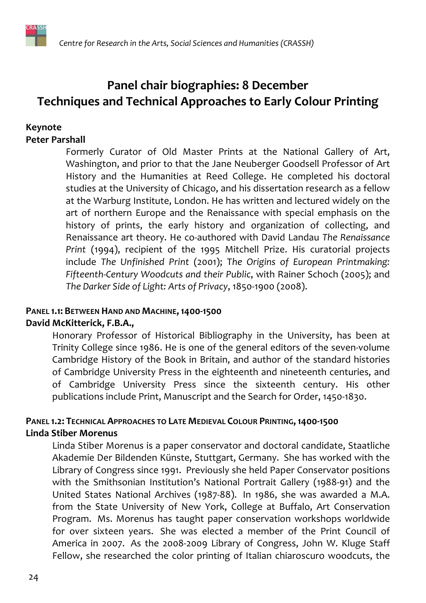

# Panel chair biographies: 8 December **Techniques and Technical Approaches to Early Colour Printing**

#### Keynote **Peter Parshall**

Formerly Curator of Old Master Prints at the National Gallery of Art, Washington, and prior to that the Jane Neuberger Goodsell Professor of Art History and the Humanities at Reed College. He completed his doctoral studies at the University of Chicago, and his dissertation research as a fellow at the Warburg Institute, London. He has written and lectured widely on the art of northern Europe and the Renaissance with special emphasis on the history of prints, the early history and organization of collecting, and Renaissance art theory. He co-authored with David Landau The Renaissance Print (1994), recipient of the 1995 Mitchell Prize. His curatorial projects include The Unfinished Print (2001); The Origins of European Printmaking: Fifteenth-Century Woodcuts and their Public, with Rainer Schoch (2005); and The Darker Side of Light: Arts of Privacy, 1850-1900 (2008).

## PANEL 1.1: BETWEEN HAND AND MACHINE, 1400-1500

#### David McKitterick, F.B.A.,

Honorary Professor of Historical Bibliography in the University, has been at Trinity College since 1986. He is one of the general editors of the seven-volume Cambridge History of the Book in Britain, and author of the standard histories of Cambridge University Press in the eighteenth and nineteenth centuries, and of Cambridge University Press since the sixteenth century. His other publications include Print, Manuscript and the Search for Order, 1450-1830.

#### PANEL 1.2: TECHNICAL APPROACHES TO LATE MEDIEVAL COLOUR PRINTING, 1400-1500 **Linda Stiber Morenus**

Linda Stiber Morenus is a paper conservator and doctoral candidate, Staatliche Akademie Der Bildenden Künste, Stuttgart, Germany. She has worked with the Library of Congress since 1991. Previously she held Paper Conservator positions with the Smithsonian Institution's National Portrait Gallery (1988-91) and the United States National Archives (1987-88). In 1986, she was awarded a M.A. from the State University of New York, College at Buffalo, Art Conservation Program. Ms. Morenus has taught paper conservation workshops worldwide for over sixteen years. She was elected a member of the Print Council of America in 2007. As the 2008-2009 Library of Congress, John W. Kluge Staff Fellow, she researched the color printing of Italian chiaroscuro woodcuts, the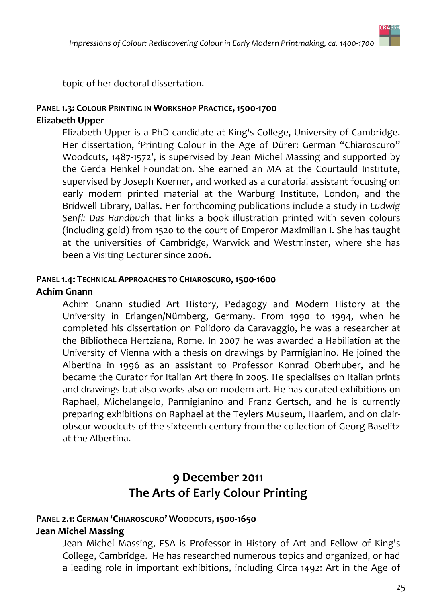

topic of her doctoral dissertation.

#### PANEL 1.3: COLOUR PRINTING IN WORKSHOP PRACTICE, 1500-1700 **Elizabeth Upper**

Elizabeth Upper is a PhD candidate at King's College, University of Cambridge. Her dissertation, 'Printing Colour in the Age of Dürer: German "Chiaroscuro" Woodcuts, 1487-1572', is supervised by Jean Michel Massing and supported by the Gerda Henkel Foundation. She earned an MA at the Courtauld Institute, supervised by Joseph Koerner, and worked as a curatorial assistant focusing on early modern printed material at the Warburg Institute, London, and the Bridwell Library, Dallas. Her forthcoming publications include a study in Ludwig Senfl: Das Handbuch that links a book illustration printed with seven colours (including gold) from 1520 to the court of Emperor Maximilian I. She has taught at the universities of Cambridge, Warwick and Westminster, where she has been a Visiting Lecturer since 2006.

#### PANEL 1.4: TECHNICAL APPROACHES TO CHIAROSCURO, 1500-1600 **Achim Gnann**

Achim Gnann studied Art History, Pedagogy and Modern History at the University in Erlangen/Nürnberg, Germany. From 1990 to 1994, when he completed his dissertation on Polidoro da Caravaggio, he was a researcher at the Bibliotheca Hertziana, Rome. In 2007 he was awarded a Habiliation at the University of Vienna with a thesis on drawings by Parmigianino. He joined the Albertina in 1996 as an assistant to Professor Konrad Oberhuber, and he became the Curator for Italian Art there in 2005. He specialises on Italian prints and drawings but also works also on modern art. He has curated exhibitions on Raphael, Michelangelo, Parmigianino and Franz Gertsch, and he is currently preparing exhibitions on Raphael at the Teylers Museum, Haarlem, and on clairobscur woodcuts of the sixteenth century from the collection of Georg Baselitz at the Albertina.

## 9 December 2011 The Arts of Early Colour Printing

# PANEL 2.1: GERMAN 'CHIAROSCURO' WOODCUTS, 1500-1650

#### **Jean Michel Massing**

Jean Michel Massing, FSA is Professor in History of Art and Fellow of King's College, Cambridge. He has researched numerous topics and organized, or had a leading role in important exhibitions, including Circa 1492: Art in the Age of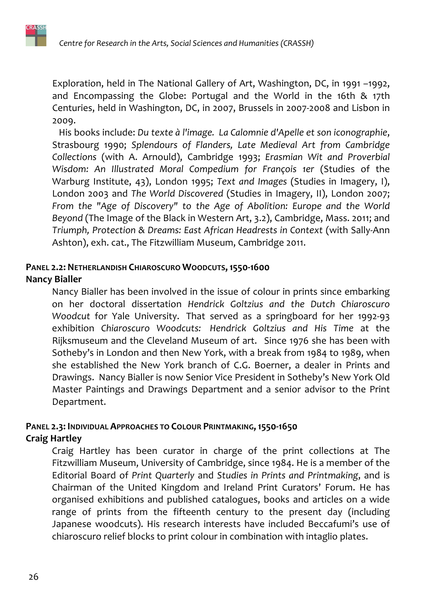Exploration, held in The National Gallery of Art, Washington, DC, in 1991 -1992, and Encompassing the Globe: Portugal and the World in the 16th & 17th Centuries, held in Washington, DC, in 2007, Brussels in 2007-2008 and Lisbon in 2009.

His books include: Du texte à l'image. La Calomnie d'Apelle et son iconographie, Strasbourg 1990; Splendours of Flanders, Late Medieval Art from Cambridge Collections (with A. Arnould), Cambridge 1993; Erasmian Wit and Proverbial Wisdom: An Illustrated Moral Compedium for François 1er (Studies of the Warburg Institute, 43), London 1995; Text and Images (Studies in Imagery, I), London 2003 and The World Discovered (Studies in Imagery, II), London 2007; From the "Age of Discovery" to the Age of Abolition: Europe and the World Beyond (The Image of the Black in Western Art, 3.2), Cambridge, Mass. 2011; and Triumph, Protection & Dreams: East African Headrests in Context (with Sally-Ann Ashton), exh. cat., The Fitzwilliam Museum, Cambridge 2011.

# PANEL 2.2: NETHERLANDISH CHIAROSCURO WOODCUTS, 1550-1600

#### **Nancy Bialler**

Nancy Bialler has been involved in the issue of colour in prints since embarking on her doctoral dissertation Hendrick Goltzius and the Dutch Chiaroscuro Woodcut for Yale University. That served as a springboard for her 1992-93 exhibition Chiaroscuro Woodcuts: Hendrick Goltzius and His Time at the Rijksmuseum and the Cleveland Museum of art. Since 1976 she has been with Sotheby's in London and then New York, with a break from 1984 to 1989, when she established the New York branch of C.G. Boerner, a dealer in Prints and Drawings. Nancy Bialler is now Senior Vice President in Sotheby's New York Old Master Paintings and Drawings Department and a senior advisor to the Print Department.

#### PANEL 2.3: INDIVIDUAL APPROACHES TO COLOUR PRINTMAKING, 1550-1650 **Craig Hartley**

Craig Hartley has been curator in charge of the print collections at The Fitzwilliam Museum, University of Cambridge, since 1984. He is a member of the Editorial Board of Print Quarterly and Studies in Prints and Printmaking, and is Chairman of the United Kingdom and Ireland Print Curators' Forum. He has organised exhibitions and published catalogues, books and articles on a wide range of prints from the fifteenth century to the present day (including Japanese woodcuts). His research interests have included Beccafumi's use of chiaroscuro relief blocks to print colour in combination with intaglio plates.